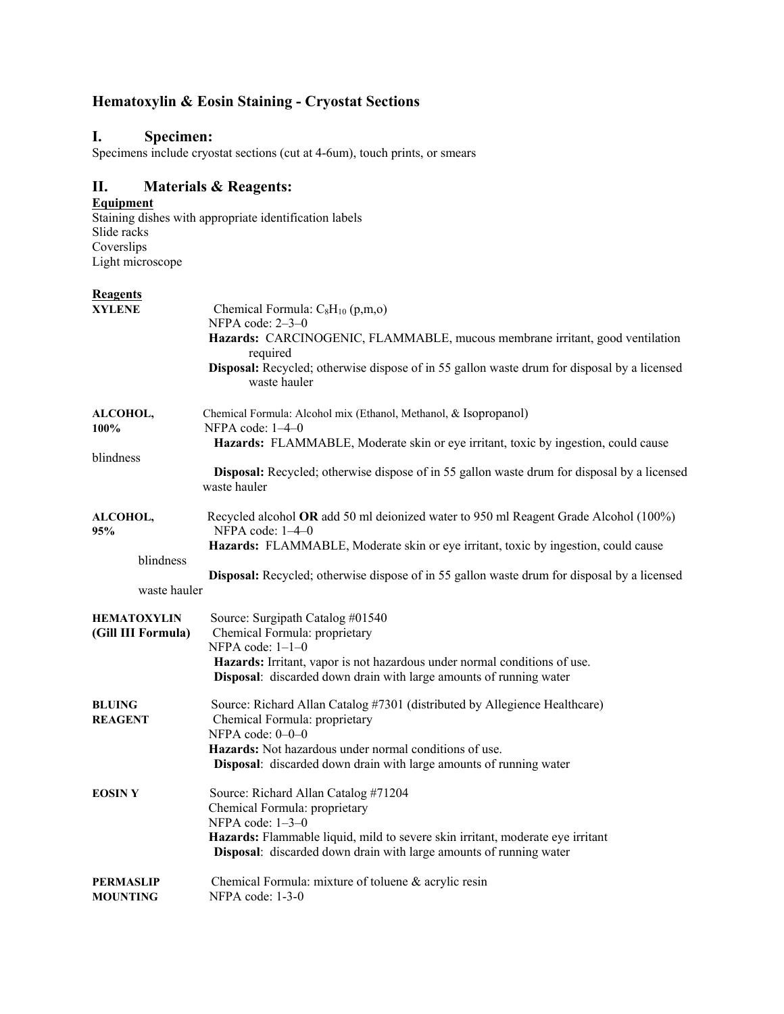# **Hematoxylin & Eosin Staining - Cryostat Sections**

# **I. Specimen:**

Specimens include cryostat sections (cut at 4-6um), touch prints, or smears

# **II. Materials & Reagents:**

#### **Equipment**

Staining dishes with appropriate identification labels Slide racks Coverslips Light microscope

#### **Reagents**

| <b>XYLENE</b>                            | Chemical Formula: $C_8H_{10}$ (p,m,o)<br>NFPA code: 2-3-0<br>Hazards: CARCINOGENIC, FLAMMABLE, mucous membrane irritant, good ventilation                                                                                                                                |
|------------------------------------------|--------------------------------------------------------------------------------------------------------------------------------------------------------------------------------------------------------------------------------------------------------------------------|
|                                          | required<br>Disposal: Recycled; otherwise dispose of in 55 gallon waste drum for disposal by a licensed<br>waste hauler                                                                                                                                                  |
| ALCOHOL,<br>100%                         | Chemical Formula: Alcohol mix (Ethanol, Methanol, & Isopropanol)<br>NFPA code: $1-4-0$<br>Hazards: FLAMMABLE, Moderate skin or eye irritant, toxic by ingestion, could cause                                                                                             |
| blindness                                | Disposal: Recycled; otherwise dispose of in 55 gallon waste drum for disposal by a licensed<br>waste hauler                                                                                                                                                              |
| ALCOHOL,<br>95%                          | Recycled alcohol OR add 50 ml deionized water to 950 ml Reagent Grade Alcohol (100%)<br>NFPA code: $1-4-0$<br>Hazards: FLAMMABLE, Moderate skin or eye irritant, toxic by ingestion, could cause                                                                         |
| blindness<br>waste hauler                | Disposal: Recycled; otherwise dispose of in 55 gallon waste drum for disposal by a licensed                                                                                                                                                                              |
| <b>HEMATOXYLIN</b><br>(Gill III Formula) | Source: Surgipath Catalog #01540<br>Chemical Formula: proprietary<br>NFPA code: $1-1-0$<br>Hazards: Irritant, vapor is not hazardous under normal conditions of use.<br>Disposal: discarded down drain with large amounts of running water                               |
| <b>BLUING</b><br><b>REAGENT</b>          | Source: Richard Allan Catalog #7301 (distributed by Allegience Healthcare)<br>Chemical Formula: proprietary<br>NFPA code: $0-0-0$<br>Hazards: Not hazardous under normal conditions of use.<br><b>Disposal:</b> discarded down drain with large amounts of running water |
| <b>EOSINY</b>                            | Source: Richard Allan Catalog #71204<br>Chemical Formula: proprietary<br>NFPA code: 1-3-0<br>Hazards: Flammable liquid, mild to severe skin irritant, moderate eye irritant<br>Disposal: discarded down drain with large amounts of running water                        |
| PERMASLIP<br><b>MOUNTING</b>             | Chemical Formula: mixture of toluene & acrylic resin<br>NFPA code: 1-3-0                                                                                                                                                                                                 |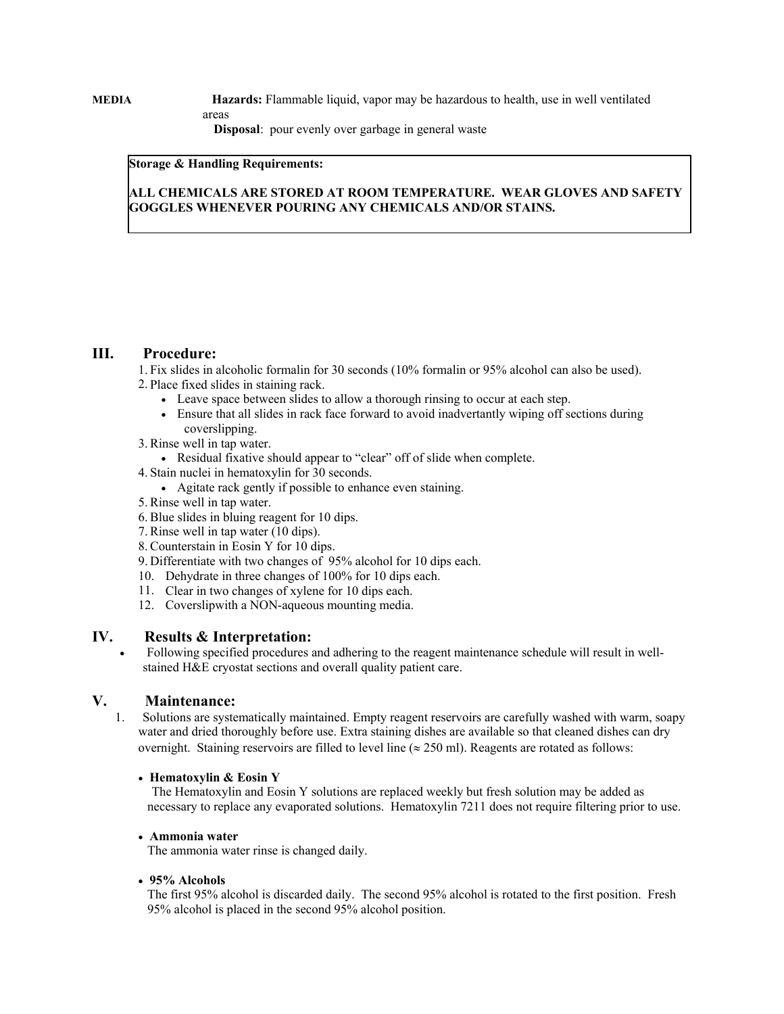**MEDIA Hazards:** Flammable liquid, vapor may be hazardous to health, use in well ventilated areas

 **Disposal**: pour evenly over garbage in general waste

#### **Storage & Handling Requirements:**

### **ALL CHEMICALS ARE STORED AT ROOM TEMPERATURE. WEAR GLOVES AND SAFETY GOGGLES WHENEVER POURING ANY CHEMICALS AND/OR STAINS.**

### **III. Procedure:**

1. Fix slides in alcoholic formalin for 30 seconds (10% formalin or 95% alcohol can also be used). 2. Place fixed slides in staining rack.

- Leave space between slides to allow a thorough rinsing to occur at each step.
- Ensure that all slides in rack face forward to avoid inadvertantly wiping off sections during coverslipping.
- 3. Rinse well in tap water.
	- Residual fixative should appear to "clear" off of slide when complete.
- 4. Stain nuclei in hematoxylin for 30 seconds.
	- Agitate rack gently if possible to enhance even staining.
- 5. Rinse well in tap water.
- 6. Blue slides in bluing reagent for 10 dips.
- 7. Rinse well in tap water (10 dips).
- 8. Counterstain in Eosin Y for 10 dips.
- 9. Differentiate with two changes of 95% alcohol for 10 dips each.
- 10. Dehydrate in three changes of 100% for 10 dips each.
- 11. Clear in two changes of xylene for 10 dips each.
- 12. Coverslipwith a NON-aqueous mounting media.

#### **IV. Results & Interpretation:**

 Following specified procedures and adhering to the reagent maintenance schedule will result in wellstained H&E cryostat sections and overall quality patient care.

#### **V. Maintenance:**

1. Solutions are systematically maintained. Empty reagent reservoirs are carefully washed with warm, soapy water and dried thoroughly before use. Extra staining dishes are available so that cleaned dishes can dry overnight. Staining reservoirs are filled to level line ( $\approx 250$  ml). Reagents are rotated as follows:

#### **Hematoxylin & Eosin Y**

 The Hematoxylin and Eosin Y solutions are replaced weekly but fresh solution may be added as necessary to replace any evaporated solutions. Hematoxylin 7211 does not require filtering prior to use.

#### **Ammonia water**

The ammonia water rinse is changed daily.

#### **95% Alcohols**

The first 95% alcohol is discarded daily. The second 95% alcohol is rotated to the first position. Fresh 95% alcohol is placed in the second 95% alcohol position.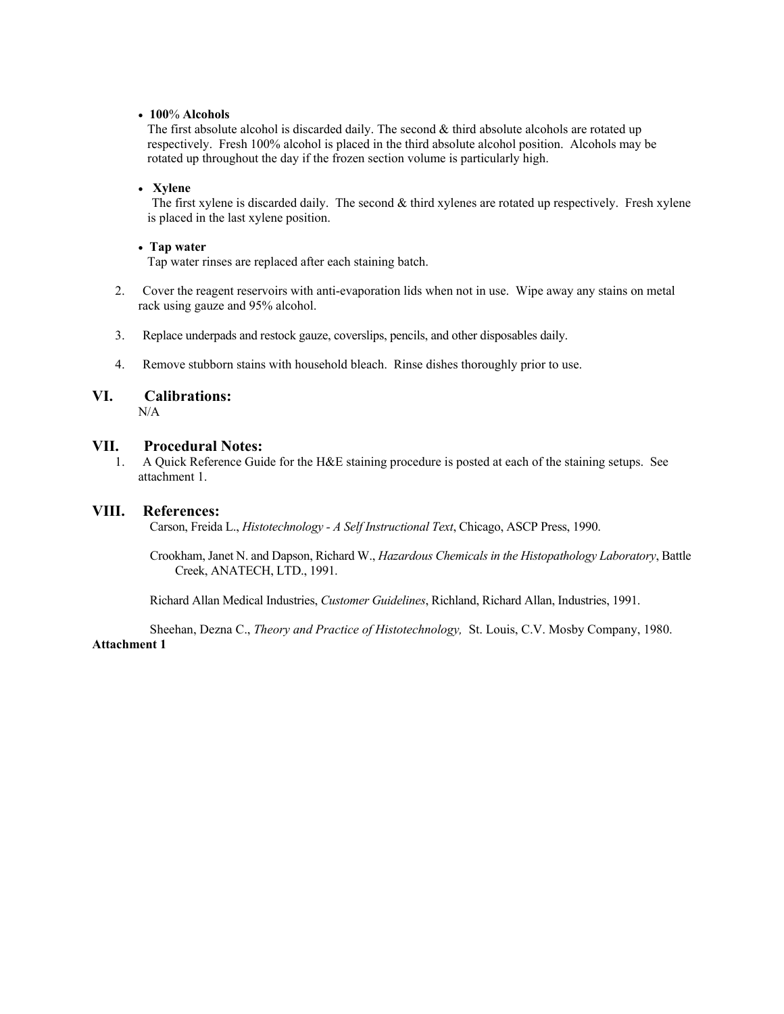#### **100**% **Alcohols**

The first absolute alcohol is discarded daily. The second & third absolute alcohols are rotated up respectively. Fresh 100% alcohol is placed in the third absolute alcohol position. Alcohols may be rotated up throughout the day if the frozen section volume is particularly high.

#### **Xylene**

 The first xylene is discarded daily. The second & third xylenes are rotated up respectively. Fresh xylene is placed in the last xylene position.

#### **Tap water**

Tap water rinses are replaced after each staining batch.

- 2. Cover the reagent reservoirs with anti-evaporation lids when not in use. Wipe away any stains on metal rack using gauze and 95% alcohol.
- 3. Replace underpads and restock gauze, coverslips, pencils, and other disposables daily.
- 4. Remove stubborn stains with household bleach. Rinse dishes thoroughly prior to use.

# **VI. Calibrations:**

N/A

#### **VII. Procedural Notes:**

1. A Quick Reference Guide for the H&E staining procedure is posted at each of the staining setups. See attachment 1.

#### **VIII. References:**

Carson, Freida L., *Histotechnology - A Self Instructional Text*, Chicago, ASCP Press, 1990.

 Crookham, Janet N. and Dapson, Richard W., *Hazardous Chemicals in the Histopathology Laboratory*, Battle Creek, ANATECH, LTD., 1991.

Richard Allan Medical Industries, *Customer Guidelines*, Richland, Richard Allan, Industries, 1991.

 Sheehan, Dezna C., *Theory and Practice of Histotechnology,* St. Louis, C.V. Mosby Company, 1980. **Attachment 1**